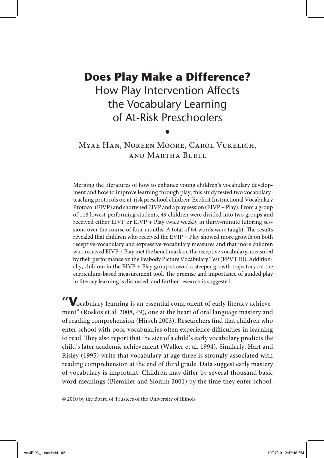# **Does Play Make a Difference?** How Play Intervention Affects the Vocabulary Learning of At-Risk Preschoolers

## Myae Han, Noreen Moore, Carol Vukelich, and Martha Buell

 $\bullet$ 

Merging the literatures of how to enhance young children's vocabulary development and how to improve learning through play, this study tested two vocabularyteaching protocols on at-risk preschool children: Explicit Instructional Vocabulary Protocol (EIVP) and shortened EIVP and a play session (EIVP + Play). From a group of 118 lowest-performing students, 49 children were divided into two groups and received either EIVP or EIVP + Play twice weekly in thirty-minute tutoring sessions over the course of four months. A total of 64 words were taught. The results revealed that children who received the EVIP + Play showed more growth on both receptive-vocabulary and expressive-vocabulary measures and that more children who received EIVP + Play met the benchmark on the receptive vocabulary, measured by their performance on the Peabody Picture Vocabulary Test (PPVT III). Additionally, children in the  $EIVP + Play$  group showed a steeper growth trajectory on the curriculum-based measurement tool. The premise and importance of guided play in literacy learning is discussed, and further research is suggested.

**"V**ocabulary learning is an essential component of early literacy achievement" (Roskos et al. 2008, 49), one at the heart of oral language mastery and of reading comprehension (Hirsch 2003). Researchers fnd that children who enter school with poor vocabularies often experience difficulties in learning to read. They also report that the size of a child's early vocabulary predicts the child's later academic achievement (Walker et al. 1994). Similarly, Hart and Risley (1995) write that vocabulary at age three is strongly associated with reading comprehension at the end of third grade. Data suggest early mastery of vocabulary is important. Children may difer by several thousand basic word meanings (Biemiller and Slonim 2001) by the time they enter school.

© 2010 by the Board of Trustees of the University of Illinois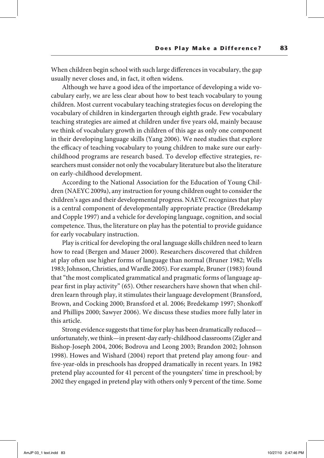When children begin school with such large diferences in vocabulary, the gap usually never closes and, in fact, it often widens.

Although we have a good idea of the importance of developing a wide vocabulary early, we are less clear about how to best teach vocabulary to young children. Most current vocabulary teaching strategies focus on developing the vocabulary of children in kindergarten through eighth grade. Few vocabulary teaching strategies are aimed at children under fve years old, mainly because we think of vocabulary growth in children of this age as only one component in their developing language skills (Yang 2006). We need studies that explore the efficacy of teaching vocabulary to young children to make sure our earlychildhood programs are research based. To develop efective strategies, researchers must consider not only the vocabulary literature but also the literature on early-childhood development.

According to the National Association for the Education of Young Children (NAEYC 2009a), any instruction for young children ought to consider the children's ages and their developmental progress. NAEYC recognizes that play is a central component of developmentally appropriate practice (Bredekamp and Copple 1997) and a vehicle for developing language, cognition, and social competence. Tus, the literature on play has the potential to provide guidance for early vocabulary instruction.

Play is critical for developing the oral language skills children need to learn how to read (Bergen and Mauer 2000). Researchers discovered that children at play ofen use higher forms of language than normal (Bruner 1982; Wells 1983; Johnson, Christies, and Wardle 2005). For example, Bruner (1983) found that "the most complicated grammatical and pragmatic forms of language appear frst in play activity" (65). Other researchers have shown that when children learn through play, it stimulates their language development (Bransford, Brown, and Cocking 2000; Bransford et al. 2006; Bredekamp 1997; Shonkof and Phillips 2000; Sawyer 2006). We discuss these studies more fully later in this article.

Strong evidence suggests that time for play has been dramatically reduced unfortunately, we think—in present-day early-childhood classrooms (Zigler and Bishop-Joseph 2004, 2006; Bodrova and Leong 2003; Brandon 2002; Johnson 1998). Howes and Wishard (2004) report that pretend play among four- and fve-year-olds in preschools has dropped dramatically in recent years. In 1982 pretend play accounted for 41 percent of the youngsters' time in preschool; by 2002 they engaged in pretend play with others only 9 percent of the time. Some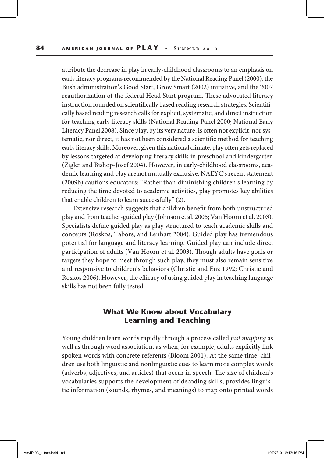attribute the decrease in play in early-childhood classrooms to an emphasis on early literacy programs recommended by the National Reading Panel (2000), the Bush administration's Good Start, Grow Smart (2002) initiative, and the 2007 reauthorization of the federal Head Start program. These advocated literacy instruction founded on scientifcally based reading research strategies. Scientifcally based reading research calls for explicit, systematic, and direct instruction for teaching early literacy skills (National Reading Panel 2000; National Early Literacy Panel 2008). Since play, by its very nature, is ofen not explicit, nor systematic, nor direct, it has not been considered a scientifc method for teaching early literacy skills. Moreover, given this national climate, play ofen gets replaced by lessons targeted at developing literacy skills in preschool and kindergarten (Zigler and Bishop-Josef 2004). However, in early-childhood classrooms, academic learning and play are not mutually exclusive. NAEYC's recent statement (2009b) cautions educators: "Rather than diminishing children's learning by reducing the time devoted to academic activities, play promotes key abilities that enable children to learn successfully" (2).

Extensive research suggests that children beneft from both unstructured play and from teacher-guided play (Johnson et al. 2005; Van Hoorn et al. 2003). Specialists defne guided play as play structured to teach academic skills and concepts (Roskos, Tabors, and Lenhart 2004). Guided play has tremendous potential for language and literacy learning. Guided play can include direct participation of adults (Van Hoorn et al. 2003). Though adults have goals or targets they hope to meet through such play, they must also remain sensitive and responsive to children's behaviors (Christie and Enz 1992; Christie and Roskos 2006). However, the efficacy of using guided play in teaching language skills has not been fully tested.

## **What We Know about Vocabulary Learning and Teaching**

Young children learn words rapidly through a process called fast mapping as well as through word association, as when, for example, adults explicitly link spoken words with concrete referents (Bloom 2001). At the same time, children use both linguistic and nonlinguistic cues to learn more complex words (adverbs, adjectives, and articles) that occur in speech. The size of children's vocabularies supports the development of decoding skills, provides linguistic information (sounds, rhymes, and meanings) to map onto printed words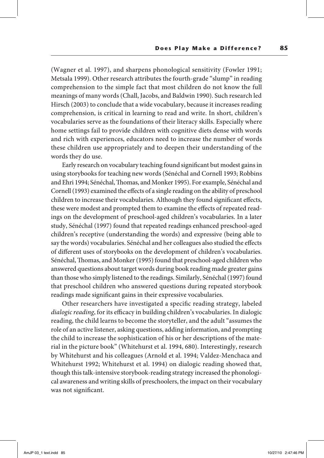(Wagner et al. 1997), and sharpens phonological sensitivity (Fowler 1991; Metsala 1999). Other research attributes the fourth-grade "slump" in reading comprehension to the simple fact that most children do not know the full meanings of many words (Chall, Jacobs, and Baldwin 1990). Such research led Hirsch (2003) to conclude that a wide vocabulary, because it increases reading comprehension, is critical in learning to read and write. In short, children's vocabularies serve as the foundations of their literacy skills. Especially where home settings fail to provide children with cognitive diets dense with words and rich with experiences, educators need to increase the number of words these children use appropriately and to deepen their understanding of the words they do use.

Early research on vocabulary teaching found signifcant but modest gains in using storybooks for teaching new words (Sénéchal and Cornell 1993; Robbins and Ehri 1994; Sénéchal, Thomas, and Monker 1995). For example, Sénéchal and Cornell (1993) examined the efects of a single reading on the ability of preschool children to increase their vocabularies. Although they found signifcant efects, these were modest and prompted them to examine the effects of repeated readings on the development of preschool-aged children's vocabularies. In a later study, Sénéchal (1997) found that repeated readings enhanced preschool-aged children's receptive (understanding the words) and expressive (being able to say the words) vocabularies. Sénéchal and her colleagues also studied the efects of diferent uses of storybooks on the development of children's vocabularies. Sénéchal, Thomas, and Monker (1995) found that preschool-aged children who answered questions about target words during book reading made greater gains than those who simply listened to the readings. Similarly, Sénéchal (1997) found that preschool children who answered questions during repeated storybook readings made signifcant gains in their expressive vocabularies.

Other researchers have investigated a specifc reading strategy, labeled dialogic reading, for its efficacy in building children's vocabularies. In dialogic reading, the child learns to become the storyteller, and the adult "assumes the role of an active listener, asking questions, adding information, and prompting the child to increase the sophistication of his or her descriptions of the material in the picture book" (Whitehurst et al. 1994, 680). Interestingly, research by Whitehurst and his colleagues (Arnold et al. 1994; Valdez-Menchaca and Whitehurst 1992; Whitehurst et al. 1994) on dialogic reading showed that, though this talk-intensive storybook-reading strategy increased the phonological awareness and writing skills of preschoolers, the impact on their vocabulary was not signifcant.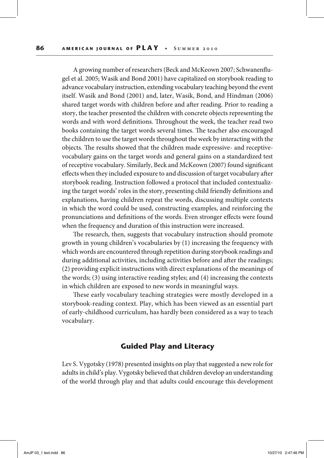A growing number of researchers (Beck and McKeown 2007; Schwanenfugel et al. 2005; Wasik and Bond 2001) have capitalized on storybook reading to advance vocabulary instruction, extending vocabulary teaching beyond the event itself. Wasik and Bond (2001) and, later, Wasik, Bond, and Hindman (2006) shared target words with children before and afer reading. Prior to reading a story, the teacher presented the children with concrete objects representing the words and with word definitions. Throughout the week, the teacher read two books containing the target words several times. The teacher also encouraged the children to use the target words throughout the week by interacting with the objects. The results showed that the children made expressive- and receptivevocabulary gains on the target words and general gains on a standardized test of receptive vocabulary. Similarly, Beck and McKeown (2007) found signifcant efects when they included exposure to and discussion of target vocabulary afer storybook reading. Instruction followed a protocol that included contextualizing the target words' roles in the story, presenting child friendly defnitions and explanations, having children repeat the words, discussing multiple contexts in which the word could be used, constructing examples, and reinforcing the pronunciations and defnitions of the words. Even stronger efects were found when the frequency and duration of this instruction were increased.

The research, then, suggests that vocabulary instruction should promote growth in young children's vocabularies by (1) increasing the frequency with which words are encountered through repetition during storybook readings and during additional activities, including activities before and after the readings; (2) providing explicit instructions with direct explanations of the meanings of the words; (3) using interactive reading styles; and (4) increasing the contexts in which children are exposed to new words in meaningful ways.

These early vocabulary teaching strategies were mostly developed in a storybook-reading context. Play, which has been viewed as an essential part of early-childhood curriculum, has hardly been considered as a way to teach vocabulary.

#### **Guided Play and Literacy**

Lev S. Vygotsky (1978) presented insights on play that suggested a new role for adults in child's play. Vygotsky believed that children develop an understanding of the world through play and that adults could encourage this development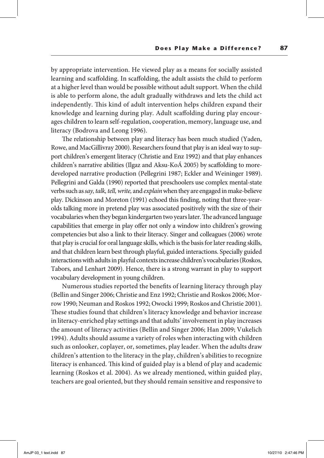by appropriate intervention. He viewed play as a means for socially assisted learning and scafolding. In scafolding, the adult assists the child to perform at a higher level than would be possible without adult support. When the child is able to perform alone, the adult gradually withdraws and lets the child act independently. This kind of adult intervention helps children expand their knowledge and learning during play. Adult scafolding during play encourages children to learn self-regulation, cooperation, memory, language use, and literacy (Bodrova and Leong 1996).

The relationship between play and literacy has been much studied (Yaden, Rowe, and MacGillivray 2000). Researchers found that play is an ideal way to support children's emergent literacy (Christie and Enz 1992) and that play enhances children's narrative abilities (Ilgaz and Aksu-KoÁ 2005) by scafolding to moredeveloped narrative production (Pellegrini 1987; Eckler and Weininger 1989). Pellegrini and Galda (1990) reported that preschoolers use complex mental-state verbs such as say, talk, tell, write, and explain when they are engaged in make-believe play. Dickinson and Moreton (1991) echoed this fnding, noting that three-yearolds talking more in pretend play was associated positively with the size of their vocabularies when they began kindergarten two years later. The advanced language capabilities that emerge in play offer not only a window into children's growing competencies but also a link to their literacy. Singer and colleagues (2006) wrote that play is crucial for oral language skills, which is the basis for later reading skills, and that children learn best through playful, guided interactions. Specially guided interactions with adults in playful contexts increase children's vocabularies (Roskos, Tabors, and Lenhart 2009). Hence, there is a strong warrant in play to support vocabulary development in young children.

Numerous studies reported the benefts of learning literacy through play (Bellin and Singer 2006; Christie and Enz 1992; Christie and Roskos 2006; Morrow 1990; Neuman and Roskos 1992; Owocki 1999; Roskos and Christie 2001). These studies found that children's literacy knowledge and behavior increase in literacy-enriched play settings and that adults' involvement in play increases the amount of literacy activities (Bellin and Singer 2006; Han 2009; Vukelich 1994). Adults should assume a variety of roles when interacting with children such as onlooker, coplayer, or, sometimes, play leader. When the adults draw children's attention to the literacy in the play, children's abilities to recognize literacy is enhanced. This kind of guided play is a blend of play and academic learning (Roskos et al. 2004). As we already mentioned, within guided play, teachers are goal oriented, but they should remain sensitive and responsive to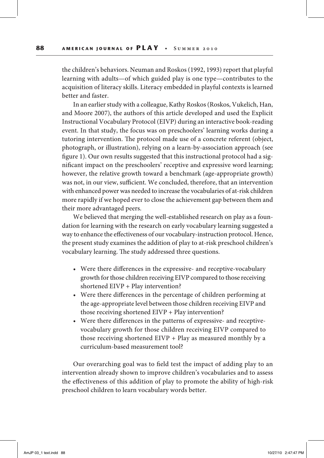the children's behaviors. Neuman and Roskos (1992, 1993) report that playful learning with adults—of which guided play is one type—contributes to the acquisition of literacy skills. Literacy embedded in playful contexts is learned better and faster.

In an earlier study with a colleague, Kathy Roskos (Roskos, Vukelich, Han, and Moore 2007), the authors of this article developed and used the Explicit Instructional Vocabulary Protocol (EIVP) during an interactive book-reading event. In that study, the focus was on preschoolers' learning works during a tutoring intervention. The protocol made use of a concrete referent (object, photograph, or illustration), relying on a learn-by-association approach (see fgure 1). Our own results suggested that this instructional protocol had a signifcant impact on the preschoolers' receptive and expressive word learning; however, the relative growth toward a benchmark (age-appropriate growth) was not, in our view, sufficient. We concluded, therefore, that an intervention with enhanced power was needed to increase the vocabularies of at-risk children more rapidly if we hoped ever to close the achievement gap between them and their more advantaged peers.

We believed that merging the well-established research on play as a foundation for learning with the research on early vocabulary learning suggested a way to enhance the efectiveness of our vocabulary-instruction protocol. Hence, the present study examines the addition of play to at-risk preschool children's vocabulary learning. The study addressed three questions.

- Were there differences in the expressive- and receptive-vocabulary growth for those children receiving EIVP compared to those receiving shortened EIVP + Play intervention?
- Were there differences in the percentage of children performing at the age-appropriate level between those children receiving EIVP and those receiving shortened EIVP + Play intervention?
- Were there differences in the patterns of expressive- and receptivevocabulary growth for those children receiving EIVP compared to those receiving shortened EIVP + Play as measured monthly by a curriculum-based measurement tool?

Our overarching goal was to feld test the impact of adding play to an intervention already shown to improve children's vocabularies and to assess the efectiveness of this addition of play to promote the ability of high-risk preschool children to learn vocabulary words better.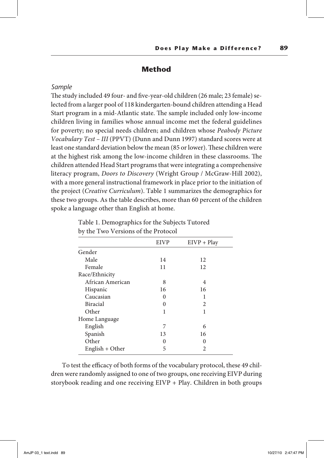## **Method**

#### *Sample*

The study included 49 four- and five-year-old children (26 male; 23 female) selected from a larger pool of 118 kindergarten-bound children attending a Head Start program in a mid-Atlantic state. The sample included only low-income children living in families whose annual income met the federal guidelines for poverty; no special needs children; and children whose Peabody Picture Vocabulary Test – III (PPVT) (Dunn and Dunn 1997) standard scores were at least one standard deviation below the mean (85 or lower). These children were at the highest risk among the low-income children in these classrooms. The children attended Head Start programs that were integrating a comprehensive literacy program, Doors to Discovery (Wright Group / McGraw-Hill 2002), with a more general instructional framework in place prior to the initiation of the project (Creative Curriculum). Table 1 summarizes the demographics for these two groups. As the table describes, more than 60 percent of the children spoke a language other than English at home.

| the 1 we cannot be the rice of |             |               |
|--------------------------------|-------------|---------------|
|                                | <b>EIVP</b> | $EIVP + Play$ |
| Gender                         |             |               |
| Male                           | 14          | 12            |
| Female                         | 11          | 12            |
| Race/Ethnicity                 |             |               |
| African American               | 8           | 4             |
| Hispanic                       | 16          | 16            |
| Caucasian                      | $\theta$    | 1             |
| <b>Biracial</b>                | $\theta$    | 2             |
| Other                          | 1           | 1             |
| Home Language                  |             |               |
| English                        | 7           | 6             |
| Spanish                        | 13          | 16            |
| Other                          | $\theta$    | 0             |
| English + Other                | 5           | 2             |

Table 1. Demographics for the Subjects Tutored by the Two Versions of the Protocol

To test the efficacy of both forms of the vocabulary protocol, these 49 children were randomly assigned to one of two groups, one receiving EIVP during storybook reading and one receiving EIVP + Play. Children in both groups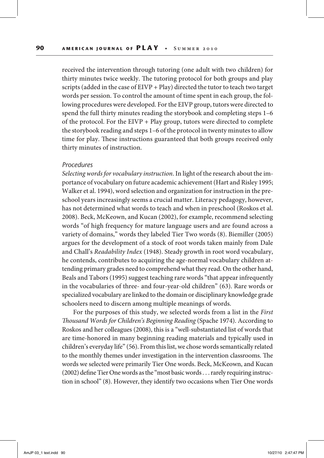received the intervention through tutoring (one adult with two children) for thirty minutes twice weekly. The tutoring protocol for both groups and play scripts (added in the case of EIVP + Play) directed the tutor to teach two target words per session. To control the amount of time spent in each group, the following procedures were developed. For the EIVP group, tutors were directed to spend the full thirty minutes reading the storybook and completing steps 1–6 of the protocol. For the EIVP + Play group, tutors were directed to complete the storybook reading and steps 1–6 of the protocol in twenty minutes to allow time for play. These instructions guaranteed that both groups received only thirty minutes of instruction.

#### *Procedures*

Selecting words for vocabulary instruction. In light of the research about the importance of vocabulary on future academic achievement (Hart and Risley 1995; Walker et al. 1994), word selection and organization for instruction in the preschool years increasingly seems a crucial matter. Literacy pedagogy, however, has not determined what words to teach and when in preschool (Roskos et al. 2008). Beck, McKeown, and Kucan (2002), for example, recommend selecting words "of high frequency for mature language users and are found across a variety of domains," words they labeled Tier Two words (8). Biemiller (2005) argues for the development of a stock of root words taken mainly from Dale and Chall's Readability Index (1948). Steady growth in root word vocabulary, he contends, contributes to acquiring the age-normal vocabulary children attending primary grades need to comprehend what they read. On the other hand, Beals and Tabors (1995) suggest teaching rare words "that appear infrequently in the vocabularies of three- and four-year-old children" (63). Rare words or specialized vocabulary are linked to the domain or disciplinary knowledge grade schoolers need to discern among multiple meanings of words.

For the purposes of this study, we selected words from a list in the First Thousand Words for Children's Beginning Reading (Spache 1974). According to Roskos and her colleagues (2008), this is a "well-substantiated list of words that are time-honored in many beginning reading materials and typically used in children's everyday life" (56). From this list, we chose words semantically related to the monthly themes under investigation in the intervention classrooms. The words we selected were primarily Tier One words. Beck, McKeown, and Kucan (2002) defne Tier One words as the "most basic words . . . rarely requiring instruction in school" (8). However, they identify two occasions when Tier One words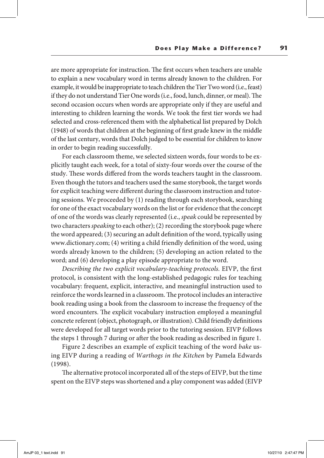are more appropriate for instruction. The first occurs when teachers are unable to explain a new vocabulary word in terms already known to the children. For example, it would be inappropriate to teach children the Tier Two word (i.e., feast) if they do not understand Tier One words (i.e., food, lunch, dinner, or meal). The second occasion occurs when words are appropriate only if they are useful and interesting to children learning the words. We took the frst tier words we had selected and cross-referenced them with the alphabetical list prepared by Dolch (1948) of words that children at the beginning of frst grade knew in the middle of the last century, words that Dolch judged to be essential for children to know in order to begin reading successfully.

For each classroom theme, we selected sixteen words, four words to be explicitly taught each week, for a total of sixty-four words over the course of the study. These words differed from the words teachers taught in the classroom. Even though the tutors and teachers used the same storybook, the target words for explicit teaching were diferent during the classroom instruction and tutoring sessions. We proceeded by (1) reading through each storybook, searching for one of the exact vocabulary words on the list or for evidence that the concept of one of the words was clearly represented (i.e., speak could be represented by two characters speaking to each other); (2) recording the storybook page where the word appeared; (3) securing an adult defnition of the word, typically using www.dictionary.com; (4) writing a child friendly defnition of the word, using words already known to the children; (5) developing an action related to the word; and (6) developing a play episode appropriate to the word.

Describing the two explicit vocabulary-teaching protocols. EIVP, the frst protocol, is consistent with the long-established pedagogic rules for teaching vocabulary: frequent, explicit, interactive, and meaningful instruction used to reinforce the words learned in a classroom. The protocol includes an interactive book reading using a book from the classroom to increase the frequency of the word encounters. The explicit vocabulary instruction employed a meaningful concrete referent (object, photograph, or illustration). Child friendly defnitions were developed for all target words prior to the tutoring session. EIVP follows the steps 1 through 7 during or afer the book reading as described in fgure 1.

Figure 2 describes an example of explicit teaching of the word bake using EIVP during a reading of Warthogs in the Kitchen by Pamela Edwards (1998).

The alternative protocol incorporated all of the steps of EIVP, but the time spent on the EIVP steps was shortened and a play component was added (EIVP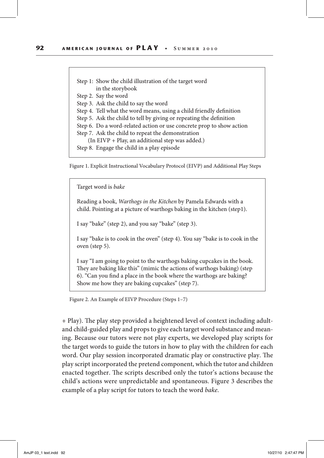Step 1: Show the child illustration of the target word in the storybook Step 2. Say the word Step 3. Ask the child to say the word Step 4. Tell what the word means, using a child friendly defnition Step 5. Ask the child to tell by giving or repeating the defnition Step 6. Do a word-related action or use concrete prop to show action Step 7. Ask the child to repeat the demonstration (In EIVP + Play, an additional step was added.) Step 8. Engage the child in a play episode

Figure 1. Explicit Instructional Vocabulary Protocol (EIVP) and Additional Play Steps

Target word is bake

Reading a book, Warthogs in the Kitchen by Pamela Edwards with a child. Pointing at a picture of warthogs baking in the kitchen (step1).

I say "bake" (step 2), and you say "bake" (step 3).

I say "bake is to cook in the oven" (step 4). You say "bake is to cook in the oven (step 5).

I say "I am going to point to the warthogs baking cupcakes in the book. They are baking like this" (mimic the actions of warthogs baking) (step 6). "Can you fnd a place in the book where the warthogs are baking? Show me how they are baking cupcakes" (step 7).

Figure 2. An Example of EIVP Procedure (Steps 1–7)

+ Play). The play step provided a heightened level of context including adultand child-guided play and props to give each target word substance and meaning. Because our tutors were not play experts, we developed play scripts for the target words to guide the tutors in how to play with the children for each word. Our play session incorporated dramatic play or constructive play. The play script incorporated the pretend component, which the tutor and children enacted together. The scripts described only the tutor's actions because the child's actions were unpredictable and spontaneous. Figure 3 describes the example of a play script for tutors to teach the word bake.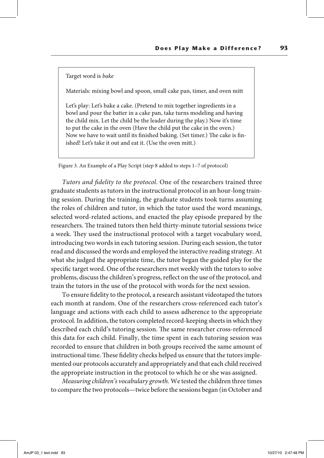#### Target word is bake

Materials: mixing bowl and spoon, small cake pan, timer, and oven mitt

Let's play: Let's bake a cake. (Pretend to mix together ingredients in a bowl and pour the batter in a cake pan, take turns modeling and having the child mix. Let the child be the leader during the play.) Now it's time to put the cake in the oven (Have the child put the cake in the oven.) Now we have to wait until its finished baking. (Set timer.) The cake is finished! Let's take it out and eat it. (Use the oven mitt.)

Figure 3. An Example of a Play Script (step 8 added to steps 1–7 of protocol)

Tutors and fdelity to the protocol. One of the researchers trained three graduate students as tutors in the instructional protocol in an hour-long training session. During the training, the graduate students took turns assuming the roles of children and tutor, in which the tutor used the word meanings, selected word-related actions, and enacted the play episode prepared by the researchers. The trained tutors then held thirty-minute tutorial sessions twice a week. They used the instructional protocol with a target vocabulary word, introducing two words in each tutoring session. During each session, the tutor read and discussed the words and employed the interactive reading strategy. At what she judged the appropriate time, the tutor began the guided play for the specifc target word. One of the researchers met weekly with the tutors to solve problems, discuss the children's progress, refect on the use of the protocol, and train the tutors in the use of the protocol with words for the next session.

To ensure fdelity to the protocol, a research assistant videotaped the tutors each month at random. One of the researchers cross-referenced each tutor's language and actions with each child to assess adherence to the appropriate protocol. In addition, the tutors completed record-keeping sheets in which they described each child's tutoring session. The same researcher cross-referenced this data for each child. Finally, the time spent in each tutoring session was recorded to ensure that children in both groups received the same amount of instructional time. These fidelity checks helped us ensure that the tutors implemented our protocols accurately and appropriately and that each child received the appropriate instruction in the protocol to which he or she was assigned.

Measuring children's vocabulary growth. We tested the children three times to compare the two protocols—twice before the sessions began (in October and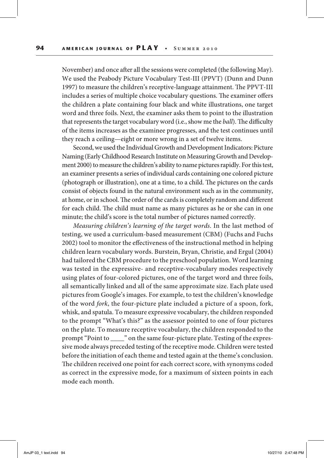November) and once after all the sessions were completed (the following May). We used the Peabody Picture Vocabulary Test-III (PPVT) (Dunn and Dunn 1997) to measure the children's receptive-language attainment. The PPVT-III includes a series of multiple choice vocabulary questions. The examiner offers the children a plate containing four black and white illustrations, one target word and three foils. Next, the examiner asks them to point to the illustration that represents the target vocabulary word (i.e., show me the ball). The difficulty of the items increases as the examinee progresses, and the test continues until they reach a ceiling—eight or more wrong in a set of twelve items.

Second, we used the Individual Growth and Development Indicators: Picture Naming (Early Childhood Research Institute on Measuring Growth and Development 2000) to measure the children's ability to name pictures rapidly. For this test, an examiner presents a series of individual cards containing one colored picture (photograph or illustration), one at a time, to a child. The pictures on the cards consist of objects found in the natural environment such as in the community, at home, or in school. The order of the cards is completely random and different for each child. The child must name as many pictures as he or she can in one minute; the child's score is the total number of pictures named correctly.

Measuring children's learning of the target words. In the last method of testing, we used a curriculum-based measurement (CBM) (Fuchs and Fuchs 2002) tool to monitor the efectiveness of the instructional method in helping children learn vocabulary words. Burstein, Bryan, Christie, and Ergul (2004) had tailored the CBM procedure to the preschool population. Word learning was tested in the expressive- and receptive-vocabulary modes respectively using plates of four-colored pictures, one of the target word and three foils, all semantically linked and all of the same approximate size. Each plate used pictures from Google's images. For example, to test the children's knowledge of the word fork, the four-picture plate included a picture of a spoon, fork, whisk, and spatula. To measure expressive vocabulary, the children responded to the prompt "What's this?" as the assessor pointed to one of four pictures on the plate. To measure receptive vocabulary, the children responded to the prompt "Point to \_\_\_\_" on the same four-picture plate. Testing of the expressive mode always preceded testing of the receptive mode. Children were tested before the initiation of each theme and tested again at the theme's conclusion. The children received one point for each correct score, with synonyms coded as correct in the expressive mode, for a maximum of sixteen points in each mode each month.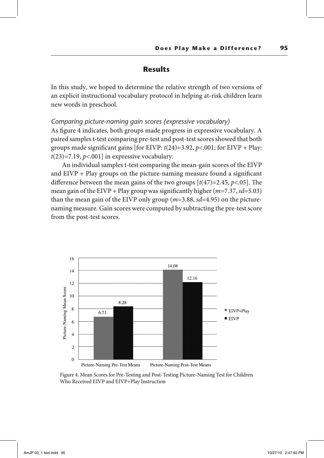## **Results**

In this study, we hoped to determine the relative strength of two versions of an explicit instructional vocabulary protocol in helping at-risk children learn new words in preschool.

#### *Comparing picture-naming gain scores (expressive vocabulary)*

As fgure 4 indicates, both groups made progress in expressive vocabulary. A paired samples t-test comparing pre-test and post-test scores showed that both groups made significant gains [for EIVP:  $t(24)=3.92$ ,  $p<.001$ ; for EIVP + Play:  $t(23)=7.19, p<0.01$ ] in expressive vocabulary.

An individual samples t-test comparing the mean-gain scores of the EIVP and EIVP + Play groups on the picture-naming measure found a signifcant difference between the mean gains of the two groups  $[t(47)=2.45, p<0.05]$ . The mean gain of the EIVP + Play group was significantly higher  $(m=7.37, sd=5.03)$ than the mean gain of the EIVP only group ( $m=3.88$ ,  $sd=4.95$ ) on the picturenaming measure. Gain scores were computed by subtracting the pre-test score from the post-test scores.



Figure 4. Mean Scores for Pre-Testing and Post-Testing Picture-Naming Test for Children Who Received EIVP and EIVP+Play Instruction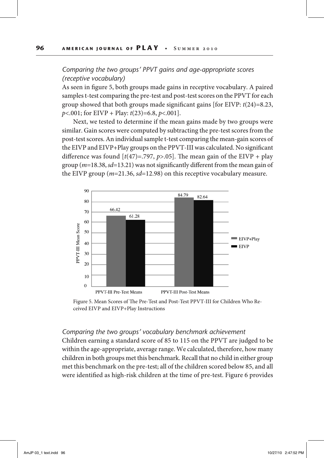## *Comparing the two groups' PPVT gains and age-appropriate scores (receptive vocabulary)*

As seen in fgure 5, both groups made gains in receptive vocabulary. A paired samples t-test comparing the pre-test and post-test scores on the PPVT for each group showed that both groups made significant gains [for EIVP:  $t(24)=8.23$ ,  $p<0.001$ ; for EIVP + Play:  $t(23)=6.8, p<0.01$ .

Next, we tested to determine if the mean gains made by two groups were similar. Gain scores were computed by subtracting the pre-test scores from the post-test scores. An individual sample t-test comparing the mean-gain scores of the EIVP and EIVP+Play groups on the PPVT-III was calculated. No signifcant difference was found  $[t(47)=0.797, p>0.05]$ . The mean gain of the EIVP + play group ( $m=18.38$ ,  $sd=13.21$ ) was not significantly different from the mean gain of the EIVP group ( $m=21.36$ ,  $sd=12.98$ ) on this receptive vocabulary measure.



Figure 5. Mean Scores of The Pre-Test and Post-Test PPVT-III for Children Who Received EIVP and EIVP+Play Instructions

#### *Comparing the two groups' vocabulary benchmark achievement*

Children earning a standard score of 85 to 115 on the PPVT are judged to be within the age-appropriate, average range. We calculated, therefore, how many children in both groups met this benchmark. Recall that no child in either group met this benchmark on the pre-test; all of the children scored below 85, and all were identifed as high-risk children at the time of pre-test. Figure 6 provides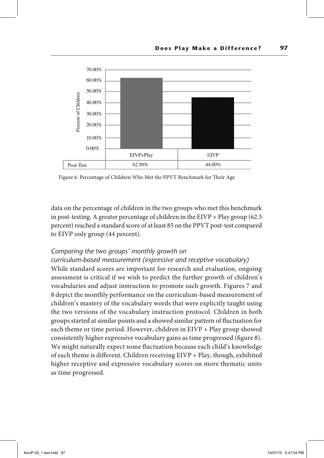

Figure 6. Percentage of Children Who Met the PPVT Benchmark for Their Age

data on the percentage of children in the two groups who met this benchmark in post-testing. A greater percentage of children in the  $EIVP + Play$  group (62.5) percent) reached a standard score of at least 85 on the PPVT post-test compared to EIVP only group (44 percent).

#### *Comparing the two groups' monthly growth on*

*curriculum-based measurement (expressive and receptive vocabulary)* While standard scores are important for research and evaluation, ongoing assessment is critical if we wish to predict the further growth of children's vocabularies and adjust instruction to promote such growth. Figures 7 and 8 depict the monthly performance on the curriculum-based measurement of children's mastery of the vocabulary words that were explicitly taught using the two versions of the vocabulary instruction protocol. Children in both groups started at similar points and a showed similar pattern of fuctuation for each theme or time period. However, children in EIVP + Play group showed consistently higher expressive vocabulary gains as time progressed (fgure 8). We might naturally expect some fuctuation because each child's knowledge of each theme is diferent. Children receiving EIVP + Play, though, exhibited higher receptive and expressive vocabulary scores on more thematic units as time progressed.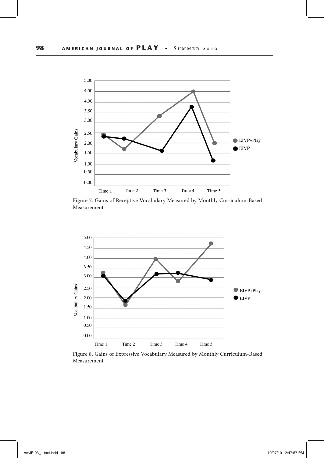

Figure 7. Gains of Receptive Vocabulary Measured by Monthly Curriculum-Based Measurement



Figure 8. Gains of Expressive Vocabulary Measured by Monthly Curriculum-Based Measurement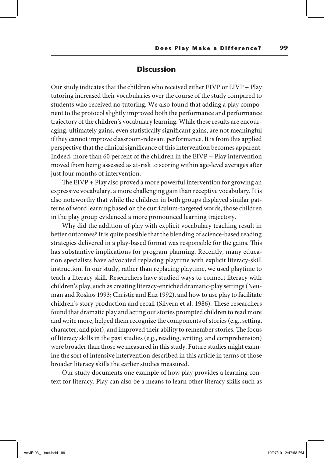## **Discussion**

Our study indicates that the children who received either EIVP or EIVP + Play tutoring increased their vocabularies over the course of the study compared to students who received no tutoring. We also found that adding a play component to the protocol slightly improved both the performance and performance trajectory of the children's vocabulary learning. While these results are encouraging, ultimately gains, even statistically signifcant gains, are not meaningful if they cannot improve classroom-relevant performance. It is from this applied perspective that the clinical signifcance of this intervention becomes apparent. Indeed, more than 60 percent of the children in the EIVP + Play intervention moved from being assessed as at-risk to scoring within age-level averages afer just four months of intervention.

The EIVP  $+$  Play also proved a more powerful intervention for growing an expressive vocabulary, a more challenging gain than receptive vocabulary. It is also noteworthy that while the children in both groups displayed similar patterns of word learning based on the curriculum-targeted words, those children in the play group evidenced a more pronounced learning trajectory.

Why did the addition of play with explicit vocabulary teaching result in better outcomes? It is quite possible that the blending of science-based reading strategies delivered in a play-based format was responsible for the gains. This has substantive implications for program planning. Recently, many education specialists have advocated replacing playtime with explicit literacy-skill instruction. In our study, rather than replacing playtime, we used playtime to teach a literacy skill. Researchers have studied ways to connect literacy with children's play, such as creating literacy-enriched dramatic-play settings (Neuman and Roskos 1993; Christie and Enz 1992), and how to use play to facilitate children's story production and recall (Silvern et al. 1986). These researchers found that dramatic play and acting out stories prompted children to read more and write more, helped them recognize the components of stories (e.g., setting, character, and plot), and improved their ability to remember stories. The focus of literacy skills in the past studies (e.g., reading, writing, and comprehension) were broader than those we measured in this study. Future studies might examine the sort of intensive intervention described in this article in terms of those broader literacy skills the earlier studies measured.

Our study documents one example of how play provides a learning context for literacy. Play can also be a means to learn other literacy skills such as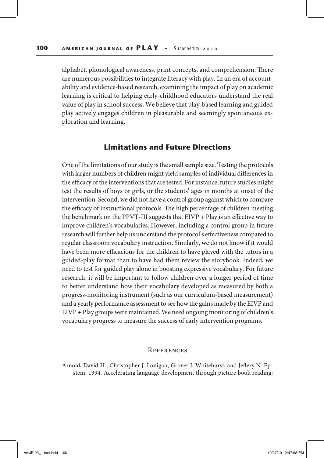alphabet, phonological awareness, print concepts, and comprehension. There are numerous possibilities to integrate literacy with play. In an era of accountability and evidence-based research, examining the impact of play on academic learning is critical to helping early-childhood educators understand the real value of play in school success. We believe that play-based learning and guided play actively engages children in pleasurable and seemingly spontaneous exploration and learning.

### **Limitations and Future Directions**

One of the limitations of our study is the small sample size. Testing the protocols with larger numbers of children might yield samples of individual diferences in the efficacy of the interventions that are tested. For instance, future studies might test the results of boys or girls, or the students' ages in months at onset of the intervention. Second, we did not have a control group against which to compare the efficacy of instructional protocols. The high percentage of children meeting the benchmark on the PPVT-III suggests that EIVP + Play is an efective way to improve children's vocabularies. However, including a control group in future research will further help us understand the protocol's efectiveness compared to regular classroom vocabulary instruction. Similarly, we do not know if it would have been more efficacious for the children to have played with the tutors in a guided-play format than to have had them review the storybook. Indeed, we need to test for guided play alone in boosting expressive vocabulary. For future research, it will be important to follow children over a longer period of time to better understand how their vocabulary developed as measured by both a progress-monitoring instrument (such as our curriculum-based measurement) and a yearly performance assessment to see how the gains made by the EIVP and EIVP + Play groups were maintained. We need ongoing monitoring of children's vocabulary progress to measure the success of early intervention programs.

#### **REFERENCES**

Arnold, David H., Christopher J. Lonigan, Grover J. Whitehurst, and Jefery N. Epstein. 1994. Accelerating language development through picture book reading: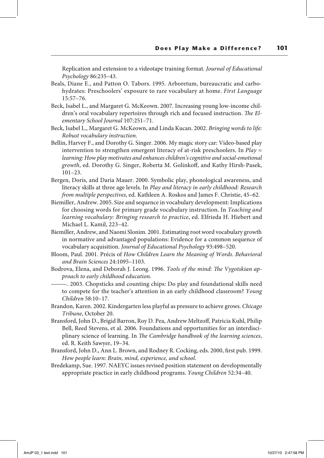Replication and extension to a videotape training format. Journal of Educational Psychology 86:235–43.

- Beals, Diane E., and Patton O. Tabors. 1995. Arboretum, bureaucratic and carbohydrates: Preschoolers' exposure to rare vocabulary at home. First Language 15:57–76.
- Beck, Isabel L., and Margaret G. McKeown. 2007. Increasing young low-income children's oral vocabulary repertoires through rich and focused instruction. The Elementary School Journal 107:251–71.
- Beck, Isabel L., Margaret G. McKeown, and Linda Kucan. 2002. Bringing words to life: Robust vocabulary instruction.
- Bellin, Harvey F., and Dorothy G. Singer. 2006. My magic story car: Video-based play intervention to strengthen emergent literacy of at-risk preschoolers. In Play = learning: How play motivates and enhances children's cognitive and social-emotional growth, ed. Dorothy G. Singer, Roberta M. Golinkoff, and Kathy Hirsh-Pasek, 101–23.
- Bergen, Doris, and Daria Mauer. 2000. Symbolic play, phonological awareness, and literacy skills at three age levels. In Play and literacy in early childhood: Research from multiple perspectives, ed. Kathleen A. Roskos and James F. Christie, 45–62.
- Biemiller, Andrew. 2005. Size and sequence in vocabulary development: Implications for choosing words for primary grade vocabulary instruction. In Teaching and learning vocabulary: Bringing research to practice, ed. Elfrieda H. Hiebert and Michael L. Kamil, 223–42.
- Biemiller, Andrew, and Naomi Slonim. 2001. Estimating root word vocabulary growth in normative and advantaged populations: Evidence for a common sequence of vocabulary acquisition. Journal of Educational Psychology 93:498–520.
- Bloom, Paul. 2001. Précis of How Children Learn the Meaning of Words. Behavioral and Brain Sciences 24:1095–1103.
- Bodrova, Elena, and Deborah J. Leong. 1996. Tools of the mind: The Vygotskian approach to early childhood education.
- ———. 2003. Chopsticks and counting chips: Do play and foundational skills need to compete for the teacher's attention in an early childhood classroom? Young Children 58:10–17.
- Brandon, Karen. 2002. Kindergarten less playful as pressure to achieve grows. Chicago Tribune, October 20.
- Bransford, John D., Brigid Barron, Roy D. Pea, Andrew Meltzof, Patricia Kuhl, Philip Bell, Reed Stevens, et al. 2006. Foundations and opportunities for an interdisciplinary science of learning. In The Cambridge handbook of the learning sciences, ed. R. Keith Sawyer, 19–34.
- Bransford, John D., Ann L. Brown, and Rodney R. Cocking, eds. 2000, frst pub. 1999. How people learn: Brain, mind, experience, and school.
- Bredekamp, Sue. 1997. NAEYC issues revised position statement on developmentally appropriate practice in early childhood programs. Young Children 52:34–40.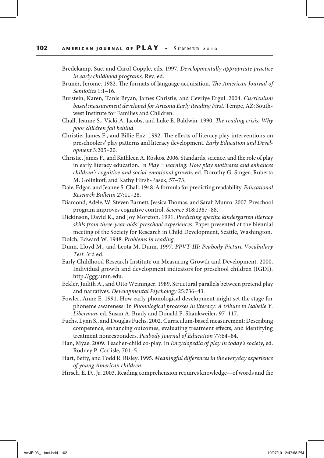- Bredekamp, Sue, and Carol Copple, eds. 1997. Developmentally appropriate practice in early childhood programs. Rev. ed.
- Bruner, Jerome. 1982. The formats of language acquisition. The American Journal of Semiotics 1:1–16.
- Burstein, Karen, Tanis Bryan, James Christie, and Cevriye Ergul. 2004. Curriculum based measurement developed for Arizona Early Reading First. Tempe, AZ: Southwest Institute for Families and Children.
- Chall, Jeanne S., Vicki A. Jacobs, and Luke E. Baldwin. 1990. The reading crisis: Why poor children fall behind.
- Christie, James F., and Billie Enz. 1992. The effects of literacy play interventions on preschoolers' play patterns and literacy development. Early Education and Development 3:205–20.
- Christie, James F., and Kathleen A. Roskos. 2006. Standards, science, and the role of play in early literacy education. In *Play = learning: How play motivates and enhances* children's cognitive and social-emotional growth, ed. Dorothy G. Singer, Roberta M. Golinkof, and Kathy Hirsh-Pasek, 57–73.
- Dale, Edgar, and Jeanne S. Chall. 1948. A formula for predicting readability. Educational Research Bulletin 27:11–28.
- Diamond, Adele, W. Steven Barnett, Jessica Tomas, and Sarah Munro. 2007. Preschool program improves cognitive control. Science 318:1387–88.
- Dickinson, David K., and Joy Moreton. 1991. Predicting specifc kindergarten literacy skills from three-year-olds' preschool experiences. Paper presented at the biennial meeting of the Society for Research in Child Development, Seattle, Washington. Dolch, Edward W. 1948. Problems in reading.
- Dunn, Lloyd M., and Leota M. Dunn. 1997. PPVT-III: Peabody Picture Vocabulary Test. 3rd ed.
- Early Childhood Research Institute on Measuring Growth and Development. 2000. Individual growth and development indicators for preschool children (IGDI). http://ggg.umn.edu.
- Eckler, Judith A., and Otto Weininger. 1989. Structural parallels between pretend play and narratives. Developmental Psychology 25:736–43.
- Fowler, Anne E. 1991. How early phonological development might set the stage for phoneme awareness. In Phonological processes in literacy: A tribute to Isabelle Y. Liberman, ed. Susan A. Brady and Donald P. Shankweiler, 97–117.
- Fuchs, Lynn S., and Douglas Fuchs. 2002. Curriculum-based measurement: Describing competence, enhancing outcomes, evaluating treatment efects, and identifying treatment nonresponders. Peabody Journal of Education 77:64–84.
- Han, Myae. 2009. Teacher-child co-play. In Encyclopedia of play in today's society, ed. Rodney P. Carlisle, 701–5.
- Hart, Betty, and Todd R. Risley. 1995. Meaningful diferences in the everyday experience of young American children.
- Hirsch, E. D., Jr. 2003. Reading comprehension requires knowledge—of words and the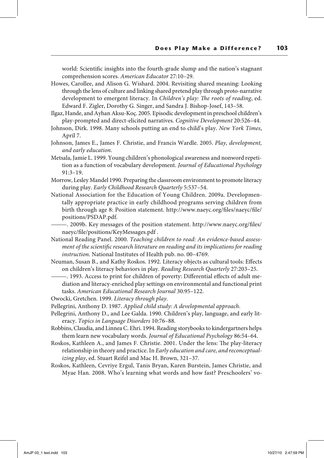world: Scientifc insights into the fourth-grade slump and the nation's stagnant comprehension scores. American Educator 27:10–29.

- Howes, Carollee, and Alison G. Wishard. 2004. Revisiting shared meaning: Looking through the lens of culture and linking shared pretend play through proto-narrative development to emergent literacy. In Children's play: The roots of reading, ed. Edward F. Zigler, Dorothy G. Singer, and Sandra J. Bishop-Josef, 143–58.
- Ilgaz, Hande, and Ayhan Aksu-Koç. 2005. Episodic development in preschool children's play-prompted and direct-elicited narratives. Cognitive Development 20:526–44.
- Johnson, Dirk. 1998. Many schools putting an end to child's play. New York Times, April 7.
- Johnson, James E., James F. Christie, and Francis Wardle. 2005. Play, development, and early education.
- Metsala, Jamie L. 1999. Young children's phonological awareness and nonword repetition as a function of vocabulary development. Journal of Educational Psychology 91:3–19.
- Morrow, Lesley Mandel 1990. Preparing the classroom environment to promote literacy during play. Early Childhood Research Quarterly 5:537–54.
- National Association for the Education of Young Children. 2009a. Developmentally appropriate practice in early childhood programs serving children from birth through age 8: Position statement. http://www.naeyc.org/fles/naeyc/fle/ positions/PSDAP.pdf.

———. 2009b. Key messages of the position statement. http://www.naeyc.org/fles/ naeyc/fle/positions/KeyMessages.pdf .

- National Reading Panel. 2000. Teaching children to read: An evidence-based assessment of the scientifc research literature on reading and its implications for reading instruction. National Institutes of Health pub. no. 00–4769.
- Neuman, Susan B., and Kathy Roskos. 1992. Literacy objects as cultural tools: Efects on children's literacy behaviors in play. Reading Research Quarterly 27:203–25.
	- ———. 1993. Access to print for children of poverty: Diferential efects of adult mediation and literacy-enriched play settings on environmental and functional print tasks. American Educational Research Journal 30:95–122.
- Owocki, Gretchen. 1999. Literacy through play.
- Pellegrini, Anthony D. 1987. Applied child study: A developmental approach.
- Pellegrini, Anthony D., and Lee Galda. 1990. Children's play, language, and early literacy. Topics in Language Disorders 10:76–88.
- Robbins, Claudia, and Linnea C. Ehri. 1994. Reading storybooks to kindergartners helps them learn new vocabulary words. Journal of Educational Psychology 86:54–64.
- Roskos, Kathleen A., and James F. Christie. 2001. Under the lens: The play-literacy relationship in theory and practice. In Early education and care, and reconceptualizing play, ed. Stuart Reifel and Mac H. Brown, 321–37.
- Roskos, Kathleen, Cevriye Ergul, Tanis Bryan, Karen Burstein, James Christie, and Myae Han. 2008. Who's learning what words and how fast? Preschoolers' vo-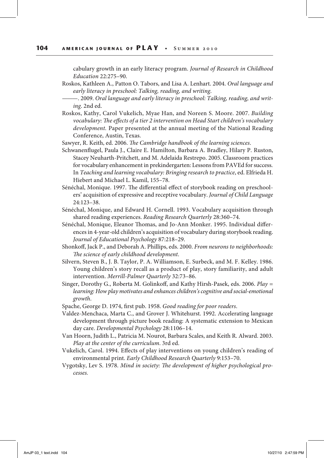cabulary growth in an early literacy program. Journal of Research in Childhood Education 22:275–90.

- Roskos, Kathleen A., Patton O. Tabors, and Lisa A. Lenhart. 2004. Oral language and early literacy in preschool: Talking, reading, and writing.
	- ———. 2009. Oral language and early literacy in preschool: Talking, reading, and writing. 2nd ed.
- Roskos, Kathy, Carol Vukelich, Myae Han, and Noreen S. Moore. 2007. Building vocabulary: The effects of a tier 2 intervention on Head Start children's vocabulary development. Paper presented at the annual meeting of the National Reading Conference, Austin, Texas.
- Sawyer, R. Keith, ed. 2006. The Cambridge handbook of the learning sciences.
- Schwanenfugel, Paula J., Claire E. Hamilton, Barbara A. Bradley, Hilary P. Ruston, Stacey Neuharth-Pritchett, and M. Adelaida Restrepo. 2005. Classroom practices for vocabulary enhancement in prekindergarten: Lessons from PAVEd for success. In Teaching and learning vocabulary: Bringing research to practice, ed. Elfrieda H. Hiebert and Michael L. Kamil, 155–78.
- Sénéchal, Monique. 1997. The differential effect of storybook reading on preschoolers' acquisition of expressive and receptive vocabulary. Journal of Child Language 24:123–38.
- Sénéchal, Monique, and Edward H. Cornell. 1993. Vocabulary acquisition through shared reading experiences. Reading Research Quarterly 28:360–74.
- Sénéchal, Monique, Eleanor Thomas, and Jo-Ann Monker. 1995. Individual differences in 4-year-old children's acquisition of vocabulary during storybook reading. Journal of Educational Psychology 87:218–29.
- Shonkof, Jack P., and Deborah A. Phillips, eds. 2000. From neurons to neighborhoods: The science of early childhood development.
- Silvern, Steven B., J. B. Taylor, P. A. Williamson, E. Surbeck, and M. F. Kelley. 1986. Young children's story recall as a product of play, story familiarity, and adult intervention. Merrill-Palmer Quarterly 32:73–86.
- Singer, Dorothy G., Roberta M. Golinkoff, and Kathy Hirsh-Pasek, eds. 2006. Play = learning: How play motivates and enhances children's cognitive and social-emotional growth.
- Spache, George D. 1974, frst pub. 1958. Good reading for poor readers.
- Valdez-Menchaca, Marta C., and Grover J. Whitehurst. 1992. Accelerating language development through picture book reading: A systematic extension to Mexican day care. Developmental Psychology 28:1106–14.
- Van Hoorn, Judith L., Patricia M. Nourot, Barbara Scales, and Keith R. Alward. 2003. Play at the center of the curriculum. 3rd ed.
- Vukelich, Carol. 1994. Efects of play interventions on young children's reading of environmental print. Early Childhood Research Quarterly 9:153–70.
- Vygotsky, Lev S. 1978. Mind in society: The development of higher psychological processes.